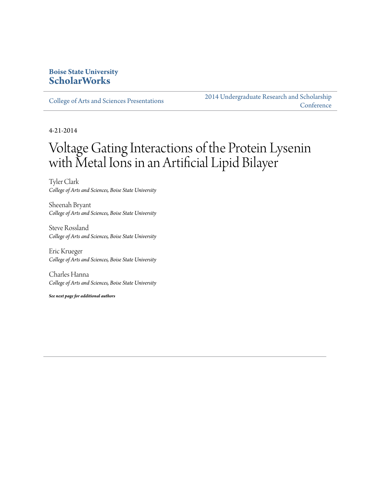## **Boise State University [ScholarWorks](http://scholarworks.boisestate.edu)**

[College of Arts and Sciences Presentations](http://scholarworks.boisestate.edu/as_14)

[2014 Undergraduate Research and Scholarship](http://scholarworks.boisestate.edu/2014_under_conf) **[Conference](http://scholarworks.boisestate.edu/2014_under_conf)** 

4-21-2014

## Voltage Gating Interactions of the Protein Lysenin with Metal Ions in an Artificial Lipid Bilayer

Tyler Clark *College of Arts and Sciences, Boise State University*

Sheenah Bryant *College of Arts and Sciences, Boise State University*

Steve Rossland *College of Arts and Sciences, Boise State University*

Eric Krueger *College of Arts and Sciences, Boise State University*

Charles Hanna *College of Arts and Sciences, Boise State University*

*See next page for additional authors*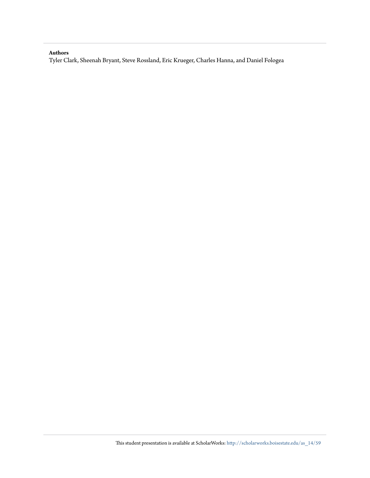## **Authors**

Tyler Clark, Sheenah Bryant, Steve Rossland, Eric Krueger, Charles Hanna, and Daniel Fologea